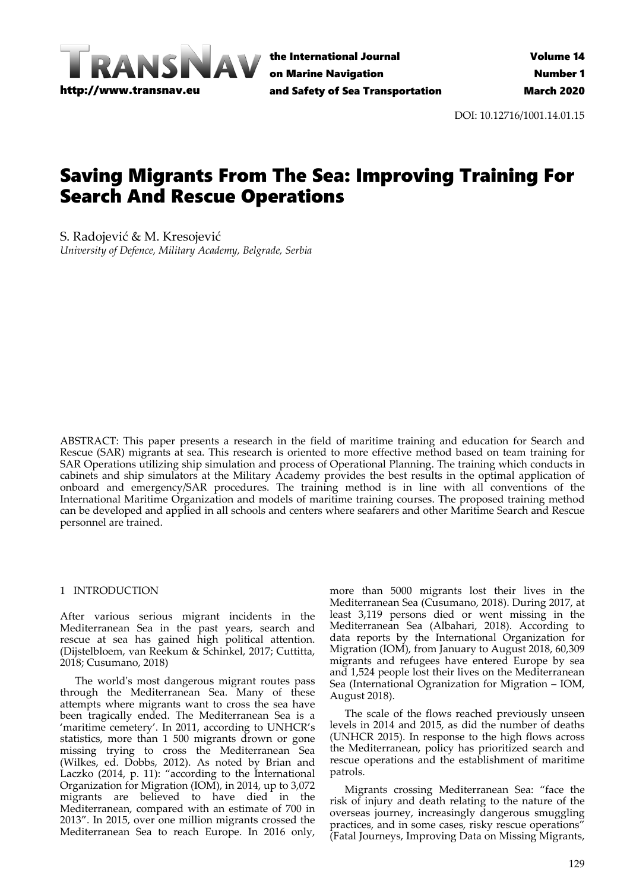

the International Journal on Marine Navigation and Safety of Sea Transportation

DOI: 10.12716/1001.14.01.15

# Saving Migrants From The Sea: Improving Training For Search And Rescue Operations

S. Radojević & M. Kresojević *University of Defence, Military Academy, Belgrade, Serbia*

ABSTRACT: This paper presents a research in the field of maritime training and education for Search and Rescue (SAR) migrants at sea. This research is oriented to more effective method based on team training for SAR Operations utilizing ship simulation and process of Operational Planning. The training which conducts in cabinets and ship simulators at the Military Academy provides the best results in the optimal application of onboard and emergency/SAR procedures. The training method is in line with all conventions of the International Maritime Organization and models of maritime training courses. The proposed training method can be developed and applied in all schools and centers where seafarers and other Maritime Search and Rescue personnel are trained.

### 1 INTRODUCTION

After various serious migrant incidents in the Mediterranean Sea in the past years, search and rescue at sea has gained high political attention. (Dijstelbloem, van Reekum & Schinkel, 2017; Cuttitta, 2018; Cusumano, 2018)

The world's most dangerous migrant routes pass through the Mediterranean Sea. Many of these attempts where migrants want to cross the sea have been tragically ended. The Mediterranean Sea is a 'maritime cemetery'. In 2011, according to UNHCR's statistics, more than 1 500 migrants drown or gone missing trying to cross the Mediterranean Sea (Wilkes, ed. Dobbs, 2012). As noted by Brian and Laczko (2014, p. 11): "according to the International Organization for Migration (IOM), in 2014, up to 3,072 migrants are believed to have died in the Mediterranean, compared with an estimate of 700 in 2013". In 2015, over one million migrants crossed the Mediterranean Sea to reach Europe. In 2016 only,

more than 5000 migrants lost their lives in the Mediterranean Sea (Cusumano, 2018). During 2017, at least 3,119 persons died or went missing in the Mediterranean Sea (Albahari, 2018). According to data reports by the International Organization for Migration (IOM), from January to August 2018, 60,309 migrants and refugees have entered Europe by sea and 1,524 people lost their lives on the Mediterranean Sea (International Ogranization for Migration – IOM, August 2018).

The scale of the flows reached previously unseen levels in 2014 and 2015, as did the number of deaths (UNHCR 2015). In response to the high flows across the Mediterranean, policy has prioritized search and rescue operations and the establishment of maritime patrols.

Migrants crossing Mediterranean Sea: "face the risk of injury and death relating to the nature of the overseas journey, increasingly dangerous smuggling practices, and in some cases, risky rescue operations" (Fatal Journeys, Improving Data on Missing Migrants,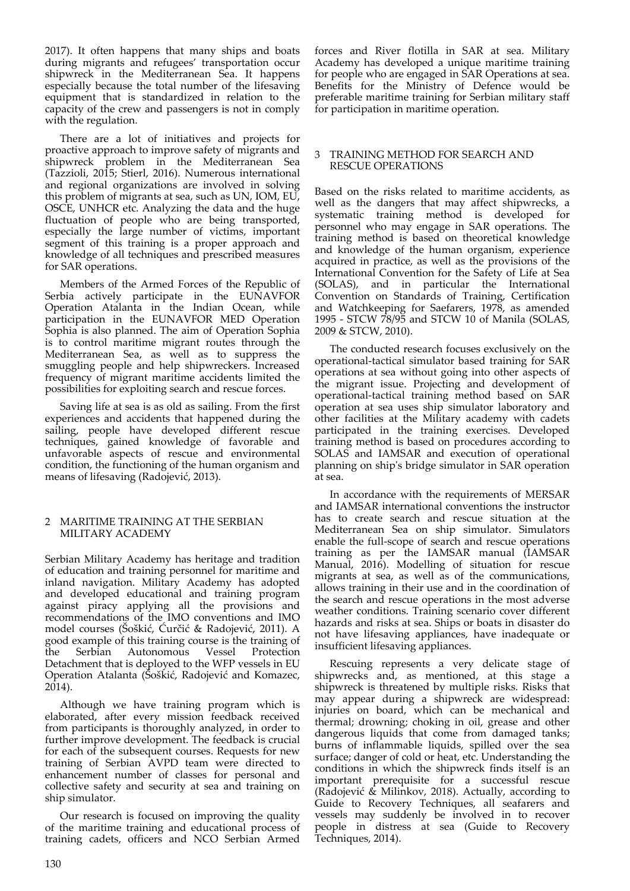2017). It often happens that many ships and boats during migrants and refugees' transportation occur shipwreck in the Mediterranean Sea. It happens especially because the total number of the lifesaving equipment that is standardized in relation to the capacity of the crew and passengers is not in comply with the regulation.

There are a lot of initiatives and projects for proactive approach to improve safety of migrants and shipwreck problem in the Mediterranean Sea (Tazzioli, 2015; Stierl, 2016). Numerous international and regional organizations are involved in solving this problem of migrants at sea, such as UN, IOM, EU, OSCE, UNHCR etc. Analyzing the data and the huge fluctuation of people who are being transported, especially the large number of victims, important segment of this training is a proper approach and knowledge of all techniques and prescribed measures for SAR operations.

Members of the Armed Forces of the Republic of Serbia actively participate in the EUNAVFOR Operation Atalanta in the Indian Ocean, while participation in the EUNAVFOR MED Operation Sophia is also planned. The aim of Operation Sophia is to control maritime migrant routes through the Mediterranean Sea, as well as to suppress the smuggling people and help shipwreckers. Increased frequency of migrant maritime accidents limited the possibilities for exploiting search and rescue forces.

Saving life at sea is as old as sailing. From the first experiences and accidents that happened during the sailing, people have developed different rescue techniques, gained knowledge of favorable and unfavorable aspects of rescue and environmental condition, the functioning of the human organism and means of lifesaving (Radojević, 2013).

### 2 MARITIME TRAINING AT THE SERBIAN MILITARY ACADEMY

Serbian Military Academy has heritage and tradition of education and training personnel for maritime and inland navigation. Military Academy has adopted and developed educational and training program against piracy applying all the provisions and recommendations of the IMO conventions and IMO model courses (Šoškić, Ćurčić & Radojević, 2011). A good example of this training course is the training of the Serbian Autonomous Vessel Protection Detachment that is deployed to the WFP vessels in EU Operation Atalanta (Šoškić, Radojević and Komazec,  $2014$ ).

Although we have training program which is elaborated, after every mission feedback received from participants is thoroughly analyzed, in order to further improve development. The feedback is crucial for each of the subsequent courses. Requests for new training of Serbian AVPD team were directed to enhancement number of classes for personal and collective safety and security at sea and training on ship simulator.

Our research is focused on improving the quality of the maritime training and educational process of training cadets, officers and NCO Serbian Armed

forces and River flotilla in SAR at sea. Military Academy has developed a unique maritime training for people who are engaged in SAR Operations at sea. Benefits for the Ministry of Defence would be preferable maritime training for Serbian military staff for participation in maritime operation.

## 3 TRAINING METHOD FOR SEARCH AND RESCUE OPERATIONS

Based on the risks related to maritime accidents, as well as the dangers that may affect shipwrecks, a systematic training method is developed for personnel who may engage in SAR operations. The training method is based on theoretical knowledge and knowledge of the human organism, experience acquired in practice, as well as the provisions of the International Convention for the Safety of Life at Sea (SOLAS), and in particular the International Convention on Standards of Training, Certification and Watchkeeping for Saefarers, 1978, as amended 1995 - STCW 78/95 and STCW 10 of Manila (SOLAS, 2009 & STCW, 2010).

The conducted research focuses exclusively on the operational-tactical simulator based training for SAR operations at sea without going into other aspects of the migrant issue. Projecting and development of operational-tactical training method based on SAR operation at sea uses ship simulator laboratory and other facilities at the Military academy with cadets participated in the training exercises. Developed training method is based on procedures according to SOLAS and IAMSAR and execution of operational planning on ship's bridge simulator in SAR operation at sea.

In accordance with the requirements of MERSAR and IAMSAR international conventions the instructor has to create search and rescue situation at the Mediterranean Sea on ship simulator. Simulators enable the full-scope of search and rescue operations training as per the IAMSAR manual (IAMSAR Manual, 2016). Modelling of situation for rescue migrants at sea, as well as of the communications, allows training in their use and in the coordination of the search and rescue operations in the most adverse weather conditions. Training scenario cover different hazards and risks at sea. Ships or boats in disaster do not have lifesaving appliances, have inadequate or insufficient lifesaving appliances.

Rescuing represents a very delicate stage of shipwrecks and, as mentioned, at this stage a shipwreck is threatened by multiple risks. Risks that may appear during a shipwreck are widespread: injuries on board, which can be mechanical and thermal; drowning; choking in oil, grease and other dangerous liquids that come from damaged tanks; burns of inflammable liquids, spilled over the sea surface; danger of cold or heat, etc. Understanding the conditions in which the shipwreck finds itself is an important prerequisite for a successful rescue (Radojević & Milinkov, 2018). Actually, according to Guide to Recovery Techniques, all seafarers and vessels may suddenly be involved in to recover people in distress at sea (Guide to Recovery Techniques, 2014).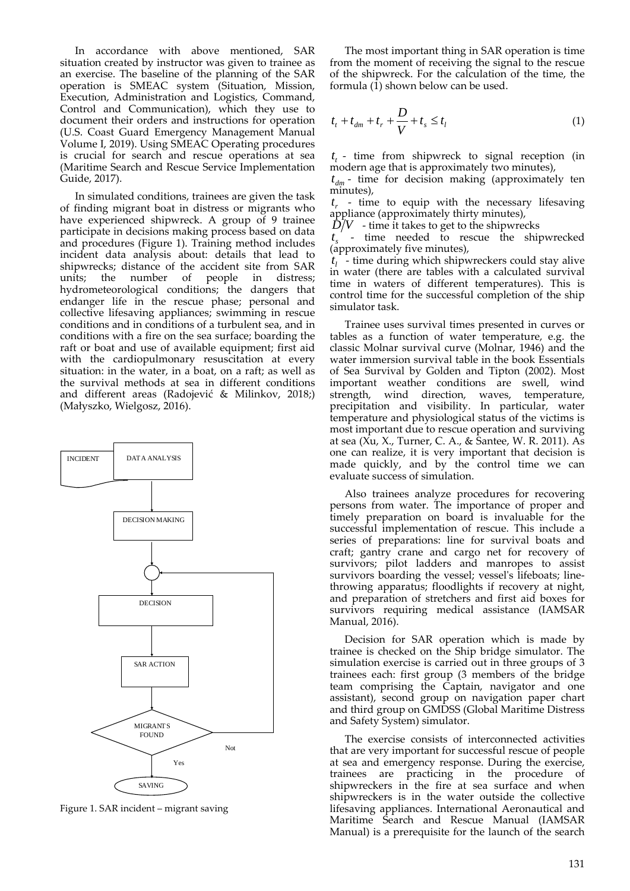In accordance with above mentioned, SAR situation created by instructor was given to trainee as an exercise. The baseline of the planning of the SAR operation is SMEAC system (Situation, Mission, Execution, Administration and Logistics, Command, Control and Communication), which they use to document their orders and instructions for operation (U.S. Coast Guard Emergency Management Manual Volume I, 2019). Using SMEAC Operating procedures is crucial for search and rescue operations at sea (Maritime Search and Rescue Service Implementation Guide, 2017).

In simulated conditions, trainees are given the task of finding migrant boat in distress or migrants who have experienced shipwreck. A group of 9 trainee participate in decisions making process based on data and procedures (Figure 1). Training method includes incident data analysis about: details that lead to shipwrecks; distance of the accident site from SAR units; the number of people in distress; hydrometeorological conditions; the dangers that endanger life in the rescue phase; personal and collective lifesaving appliances; swimming in rescue conditions and in conditions of a turbulent sea, and in conditions with a fire on the sea surface; boarding the raft or boat and use of available equipment; first aid with the cardiopulmonary resuscitation at every situation: in the water, in a boat, on a raft; as well as the survival methods at sea in different conditions and different areas (Radojević & Milinkov, 2018;) (Małyszko, Wielgosz, 2016).



Figure 1. SAR incident – migrant saving

The most important thing in SAR operation is time from the moment of receiving the signal to the rescue of the shipwreck. For the calculation of the time, the formula  $(1)$  shown below can be used.

$$
t_{t} + t_{dm} + t_{r} + \frac{D}{V} + t_{s} \leq t_{l}
$$
 (1)

 $t_{t}$  - time from shipwreck to signal reception (in modern age that is approximately two minutes),

 $t_{dm}$  - time for decision making (approximately ten minutes),

 $t_r$  - time to equip with the necessary lifesaving appliance (approximately thirty minutes),

 $\hat{D}/V$  - time it takes to get to the shipwrecks

*st* - time needed to rescue the shipwrecked (approximately five minutes),

 $t_i$  - time during which shipwreckers could stay alive in water (there are tables with a calculated survival time in waters of different temperatures). This is control time for the successful completion of the ship simulator task.

Trainee uses survival times presented in curves or tables as a function of water temperature, e.g. the classic Molnar survival curve (Molnar, 1946) and the water immersion survival table in the book Essentials of Sea Survival by Golden and Tipton (2002). Most important weather conditions are swell, wind strength, wind direction, waves, temperature, precipitation and visibility. In particular, water temperature and physiological status of the victims is most important due to rescue operation and surviving at sea (Xu, X., Turner, C. A., & Santee, W. R. 2011). As one can realize, it is very important that decision is made quickly, and by the control time we can evaluate success of simulation.

Also trainees analyze procedures for recovering persons from water. The importance of proper and timely preparation on board is invaluable for the successful implementation of rescue. This include a series of preparations: line for survival boats and craft; gantry crane and cargo net for recovery of survivors; pilot ladders and manropes to assist survivors boarding the vessel; vessel's lifeboats; linethrowing apparatus; floodlights if recovery at night, and preparation of stretchers and first aid boxes for survivors requiring medical assistance (IAMSAR Manual, 2016).

Decision for SAR operation which is made by trainee is checked on the Ship bridge simulator. The simulation exercise is carried out in three groups of 3 trainees each: first group (3 members of the bridge team comprising the Captain, navigator and one assistant), second group on navigation paper chart and third group on GMDSS (Global Maritime Distress and Safety System) simulator.

The exercise consists of interconnected activities that are very important for successful rescue of people at sea and emergency response. During the exercise, trainees are practicing in the procedure of shipwreckers in the fire at sea surface and when shipwreckers is in the water outside the collective lifesaving appliances. International Aeronautical and Maritime Search and Rescue Manual (IAMSAR Manual) is a prerequisite for the launch of the search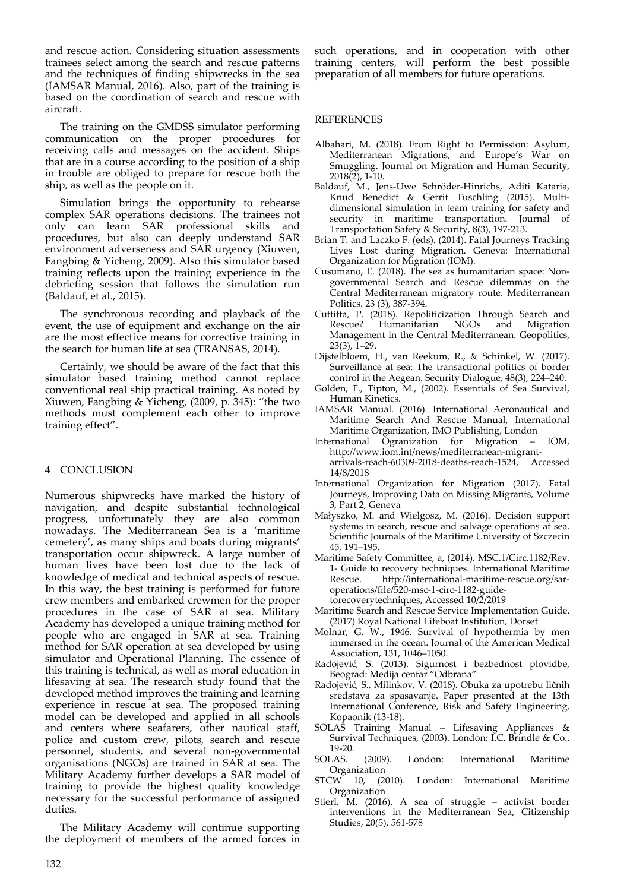and rescue action. Considering situation assessments trainees select among the search and rescue patterns and the techniques of finding shipwrecks in the sea (IAMSAR Manual, 2016). Also, part of the training is based on the coordination of search and rescue with aircraft.

The training on the GMDSS simulator performing communication on the proper procedures for receiving calls and messages on the accident. Ships that are in a course according to the position of a ship in trouble are obliged to prepare for rescue both the ship, as well as the people on it.

Simulation brings the opportunity to rehearse complex SAR operations decisions. The trainees not only can learn SAR professional skills and procedures, but also can deeply understand SAR environment adverseness and SAR urgency (Xiuwen, Fangbing & Yicheng, 2009). Also this simulator based training reflects upon the training experience in the debriefing session that follows the simulation run (Baldauf, et al., 2015).

The synchronous recording and playback of the event, the use of equipment and exchange on the air are the most effective means for corrective training in the search for human life at sea (TRANSAS, 2014).

Certainly, we should be aware of the fact that this simulator based training method cannot replace conventional real ship practical training. As noted by Xiuwen, Fangbing & Yicheng, (2009, p. 345): "the two methods must complement each other to improve training effect".

## 4 CONCLUSION

Numerous shipwrecks have marked the history of navigation, and despite substantial technological progress, unfortunately they are also common nowadays. The Mediterranean Sea is a 'maritime cemetery', as many ships and boats during migrants' transportation occur shipwreck. A large number of human lives have been lost due to the lack of knowledge of medical and technical aspects of rescue. In this way, the best training is performed for future crew members and embarked crewmen for the proper procedures in the case of SAR at sea. Military Academy has developed a unique training method for people who are engaged in SAR at sea. Training method for SAR operation at sea developed by using simulator and Operational Planning. The essence of this training is technical, as well as moral education in lifesaving at sea. The research study found that the developed method improves the training and learning experience in rescue at sea. The proposed training model can be developed and applied in all schools and centers where seafarers, other nautical staff, police and custom crew, pilots, search and rescue personnel, students, and several non-governmental organisations (NGOs) are trained in SAR at sea. The Military Academy further develops a SAR model of training to provide the highest quality knowledge necessary for the successful performance of assigned duties.

The Military Academy will continue supporting the deployment of members of the armed forces in such operations, and in cooperation with other training centers, will perform the best possible preparation of all members for future operations.

#### REFERENCES

- Albahari, M. (2018). From Right to Permission: Asylum, Mediterranean Migrations, and Europe's War on Smuggling. Journal on Migration and Human Security,  $2018(2)$ , 1-10.
- Baldauf, M., Jens-Uwe Schröder-Hinrichs, Aditi Kataria, Knud Benedict & Gerrit Tuschling (2015). Multidimensional simulation in team training for safety and security in maritime transportation. Journal of Transportation Safety & Security, 8(3), 197-213.
- Brian T. and Laczko F. (eds). (2014). Fatal Journeys Tracking Lives Lost during Migration. Geneva: International Organization for Migration (IOM).
- Cusumano, E. (2018). The sea as humanitarian space: Nongovernmental Search and Rescue dilemmas on the Central Mediterranean migratory route. Mediterranean Politics. 23 (3), 387-394.
- Cuttitta, P. (2018). Repoliticization Through Search and Rescue? Humanitarian NGOs and Migration Management in the Central Mediterranean. Geopolitics, 23(3), 1–29.
- Dijstelbloem, H., van Reekum, R., & Schinkel, W. (2017). Surveillance at sea: The transactional politics of border control in the Aegean. Security Dialogue, 48(3), 224–240.
- Golden, F., Tipton, M., (2002). Essentials of Sea Survival, Human Kinetics.
- IAMSAR Manual. (2016). International Aeronautical and Maritime Search And Rescue Manual, International Maritime Organization, IMO Publishing, London
- International Ogranization for Migration IOM, http://www.iom.int/news/mediterranean-migrantarrivals-reach-60309-2018-deaths-reach-1524, Accessed 14/8/2018
- International Organization for Migration (2017). Fatal Journeys, Improving Data on Missing Migrants, Volume 3, Part 2, Geneva
- Małyszko, M. and Wielgosz, M. (2016). Decision support systems in search, rescue and salvage operations at sea. Scientific Journals of the Maritime University of Szczecin 45, 191–195.
- Maritime Safety Committee, a, (2014). MSC.1/Circ.1182/Rev. 1- Guide to recovery techniques. International Maritime Rescue. http://international-maritime-rescue.org/saroperations/file/520-msc-1-circ-1182-guidetorecoverytechniques, Accessed 10/2/2019
- Maritime Search and Rescue Service Implementation Guide. (2017) Royal National Lifeboat Institution, Dorset
- Molnar, G. W., 1946. Survival of hypothermia by men immersed in the ocean. Journal of the American Medical Association, 131, 1046–1050.
- Radojević, S. (2013). Sigurnost i bezbednost plovidbe, Beograd: Medija centar "Odbrana"
- Radojević, S., Milinkov, V. (2018). Obuka za upotrebu ličnih sredstava za spasavanje. Paper presented at the 13th International Conference, Risk and Safety Engineering, Kopaonik (13-18).
- SOLAS Training Manual Lifesaving Appliances  $\&$ Survival Techniques, (2003). London: I.C. Brindle & Co., 19-20.
- SOLAS. (2009). London: International Maritime Organization
- STCW 10, (2010). London: International Maritime Organization
- Stierl, M. (2016). A sea of struggle activist border interventions in the Mediterranean Sea, Citizenship Studies, 20(5), 561-578